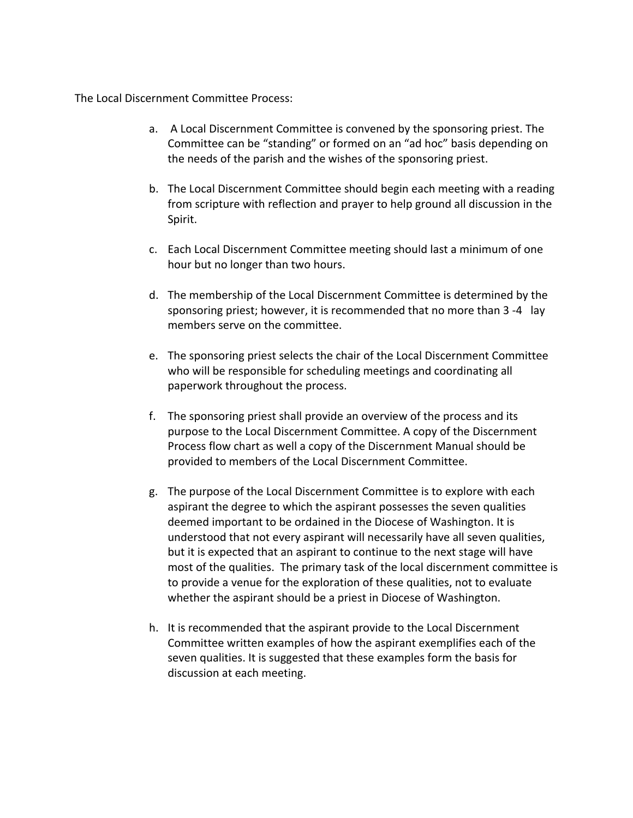The Local Discernment Committee Process:

- a. A Local Discernment Committee is convened by the sponsoring priest. The Committee can be "standing" or formed on an "ad hoc" basis depending on the needs of the parish and the wishes of the sponsoring priest.
- b. The Local Discernment Committee should begin each meeting with a reading from scripture with reflection and prayer to help ground all discussion in the Spirit.
- c. Each Local Discernment Committee meeting should last a minimum of one hour but no longer than two hours.
- d. The membership of the Local Discernment Committee is determined by the sponsoring priest; however, it is recommended that no more than 3 -4 lay members serve on the committee.
- e. The sponsoring priest selects the chair of the Local Discernment Committee who will be responsible for scheduling meetings and coordinating all paperwork throughout the process.
- f. The sponsoring priest shall provide an overview of the process and its purpose to the Local Discernment Committee. A copy of the Discernment Process flow chart as well a copy of the Discernment Manual should be provided to members of the Local Discernment Committee.
- g. The purpose of the Local Discernment Committee is to explore with each aspirant the degree to which the aspirant possesses the seven qualities deemed important to be ordained in the Diocese of Washington. It is understood that not every aspirant will necessarily have all seven qualities, but it is expected that an aspirant to continue to the next stage will have most of the qualities. The primary task of the local discernment committee is to provide a venue for the exploration of these qualities, not to evaluate whether the aspirant should be a priest in Diocese of Washington.
- h. It is recommended that the aspirant provide to the Local Discernment. Committee written examples of how the aspirant exemplifies each of the seven qualities. It is suggested that these examples form the basis for discussion at each meeting.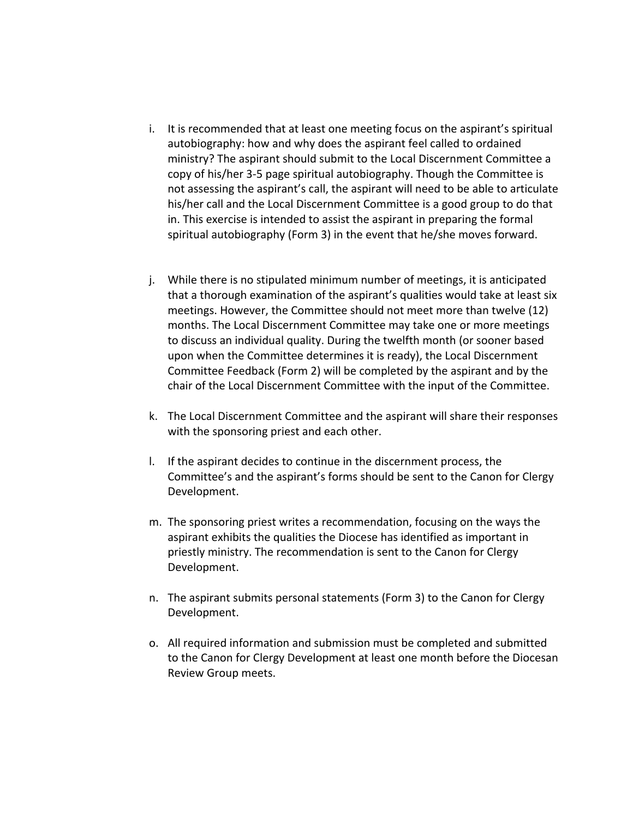- i. It is recommended that at least one meeting focus on the aspirant's spiritual autobiography: how and why does the aspirant feel called to ordained ministry? The aspirant should submit to the Local Discernment Committee a copy of his/her 3-5 page spiritual autobiography. Though the Committee is not assessing the aspirant's call, the aspirant will need to be able to articulate his/her call and the Local Discernment Committee is a good group to do that in. This exercise is intended to assist the aspirant in preparing the formal spiritual autobiography (Form 3) in the event that he/she moves forward.
- j. While there is no stipulated minimum number of meetings, it is anticipated that a thorough examination of the aspirant's qualities would take at least six meetings. However, the Committee should not meet more than twelve (12) months. The Local Discernment Committee may take one or more meetings to discuss an individual quality. During the twelfth month (or sooner based upon when the Committee determines it is ready), the Local Discernment Committee Feedback (Form 2) will be completed by the aspirant and by the chair of the Local Discernment Committee with the input of the Committee.
- k. The Local Discernment Committee and the aspirant will share their responses with the sponsoring priest and each other.
- l. If the aspirant decides to continue in the discernment process, the Committee's and the aspirant's forms should be sent to the Canon for Clergy Development.
- m. The sponsoring priest writes a recommendation, focusing on the ways the aspirant exhibits the qualities the Diocese has identified as important in priestly ministry. The recommendation is sent to the Canon for Clergy Development.
- n. The aspirant submits personal statements (Form 3) to the Canon for Clergy Development.
- o. All required information and submission must be completed and submitted to the Canon for Clergy Development at least one month before the Diocesan Review Group meets.